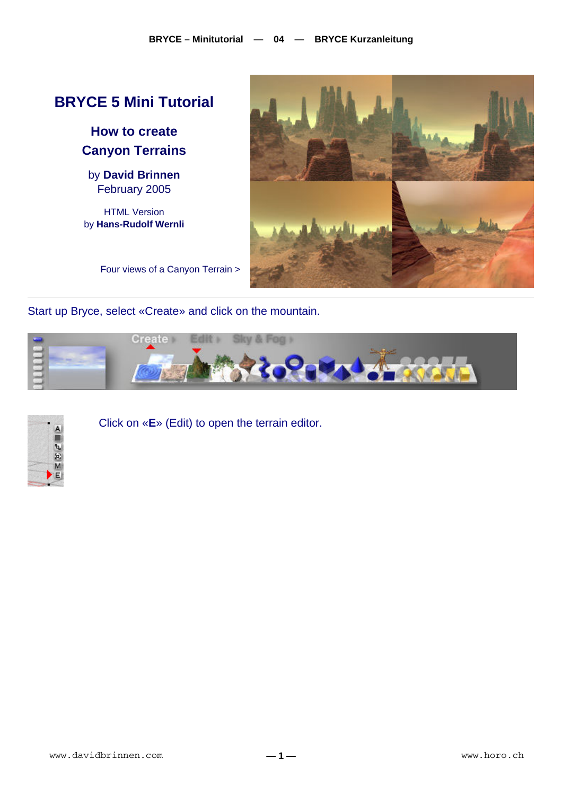## **BRYCE 5 Mini Tutorial**

**How to create Canyon Terrains** 

by **David Brinnen** February 2005

HTML Version by **Hans-Rudolf Wernli**



Four views of a Canyon Terrain >

Start up Bryce, select «Create» and click on the mountain.





Click on «**E**» (Edit) to open the terrain editor.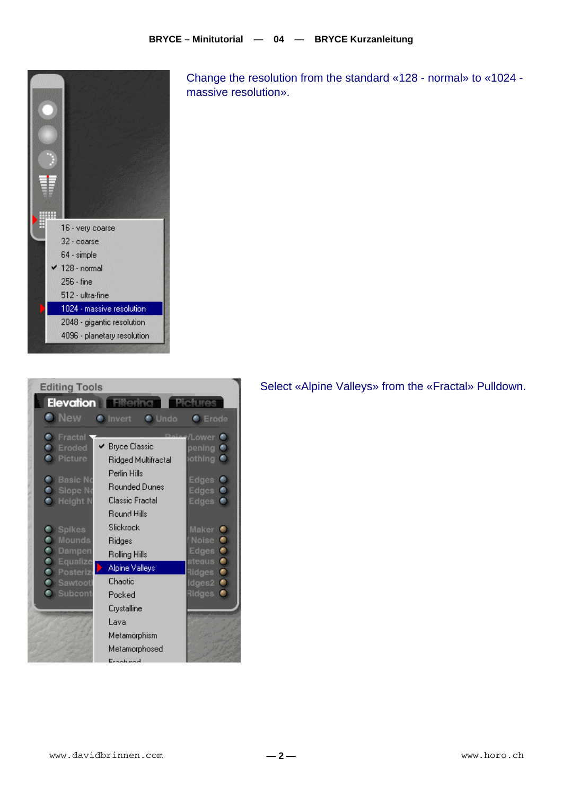



Change the resolution from the standard «128 - normal» to «1024 massive resolution».

Select «Alpine Valleys» from the «Fractal» Pulldown.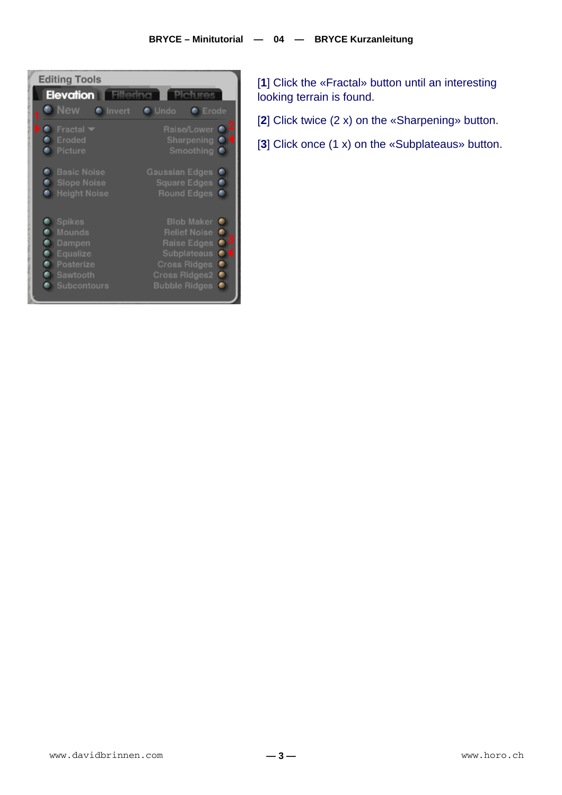

[1] Click the «Fractal» button until an interesting looking terrain is found.

[**2**] Click twice (2 x) on the «Sharpening» button.

[3] Click once (1 x) on the «Subplateaus» button.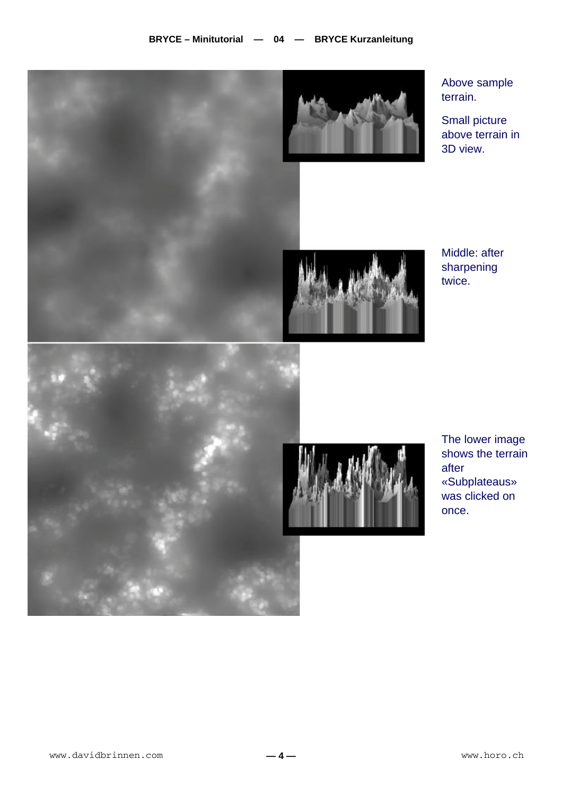



Small picture above terrain in 3D view.

Middle: after sharpening twice.

The lower image shows the terrain after «Subplateaus» was clicked on once.





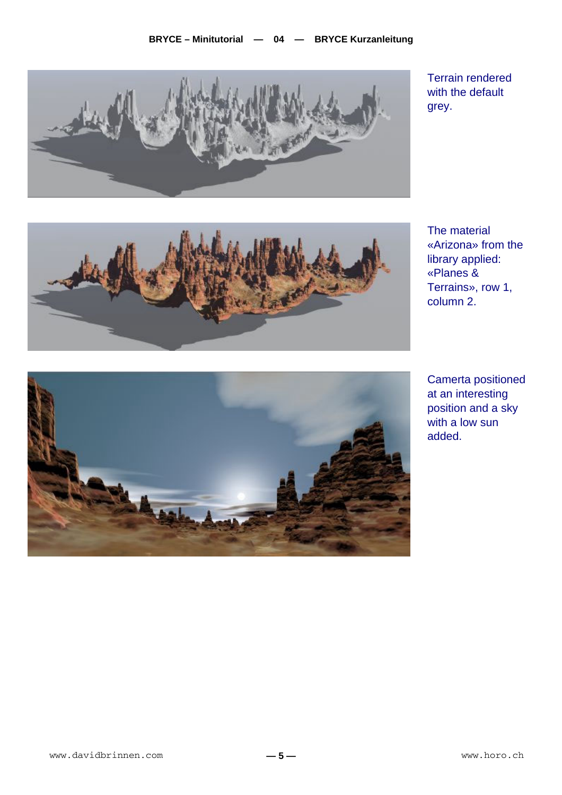

The material «Arizona» from the library applied: «Planes & Terrains», row 1, column 2.

Camerta positioned at an interesting position and a sky with a low sun added.